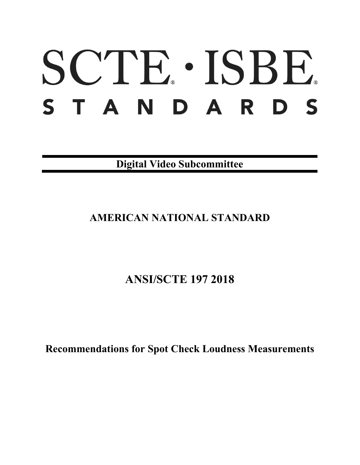# SCTE · ISBE. STANDARDS

**Digital Video Subcommittee**

# **AMERICAN NATIONAL STANDARD**

# **ANSI/SCTE 197 2018**

**Recommendations for Spot Check Loudness Measurements**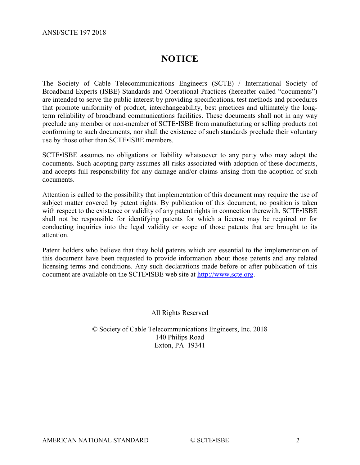# **NOTICE**

The Society of Cable Telecommunications Engineers (SCTE) / International Society of Broadband Experts (ISBE) Standards and Operational Practices (hereafter called "documents") are intended to serve the public interest by providing specifications, test methods and procedures that promote uniformity of product, interchangeability, best practices and ultimately the longterm reliability of broadband communications facilities. These documents shall not in any way preclude any member or non-member of SCTE•ISBE from manufacturing or selling products not conforming to such documents, nor shall the existence of such standards preclude their voluntary use by those other than SCTE•ISBE members.

SCTE•ISBE assumes no obligations or liability whatsoever to any party who may adopt the documents. Such adopting party assumes all risks associated with adoption of these documents, and accepts full responsibility for any damage and/or claims arising from the adoption of such documents.

Attention is called to the possibility that implementation of this document may require the use of subject matter covered by patent rights. By publication of this document, no position is taken with respect to the existence or validity of any patent rights in connection therewith. SCTE•ISBE shall not be responsible for identifying patents for which a license may be required or for conducting inquiries into the legal validity or scope of those patents that are brought to its attention.

Patent holders who believe that they hold patents which are essential to the implementation of this document have been requested to provide information about those patents and any related licensing terms and conditions. Any such declarations made before or after publication of this document are available on the SCTE•ISBE web site at [http://www.scte.org.](http://www.scte.org/)

# All Rights Reserved

© Society of Cable Telecommunications Engineers, Inc. 2018 140 Philips Road Exton, PA 19341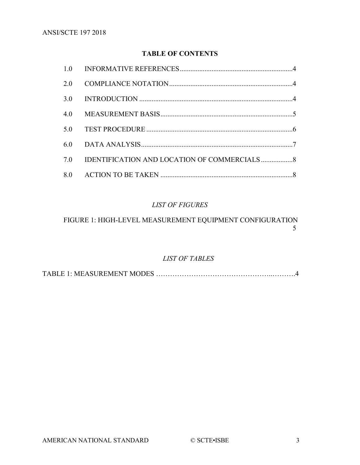# **TABLE OF CONTENTS**

| 1.0 |  |
|-----|--|
| 2.0 |  |
| 3.0 |  |
| 4.0 |  |
| 5.0 |  |
| 6.0 |  |
| 7.0 |  |
|     |  |

# *LIST OF FIGURES*

# FIGURE 1: HIGH-LEVEL [MEASUREMENT EQUIPMENT CONFIGURATION](#page-4-1) [5](#page-4-1)

# *LIST OF TABLES*

TABLE 1: MEASUREMENT MODES …………………………………………..……….4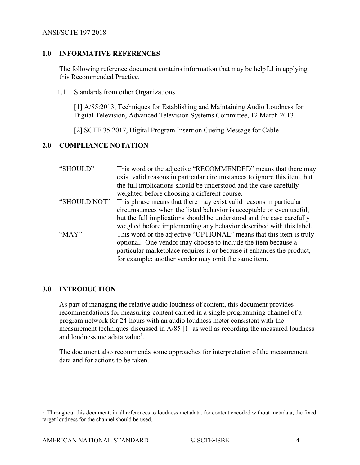# <span id="page-3-0"></span>**1.0 INFORMATIVE REFERENCES**

The following reference document contains information that may be helpful in applying this Recommended Practice.

1.1 Standards from other Organizations

[1] A/85:2013, Techniques for Establishing and Maintaining Audio Loudness for Digital Television, Advanced Television Systems Committee, 12 March 2013.

[2] SCTE 35 2017, Digital Program Insertion Cueing Message for Cable

# <span id="page-3-1"></span>**2.0 COMPLIANCE NOTATION**

| "SHOULD"     | This word or the adjective "RECOMMENDED" means that there may            |  |  |
|--------------|--------------------------------------------------------------------------|--|--|
|              | exist valid reasons in particular circumstances to ignore this item, but |  |  |
|              | the full implications should be understood and the case carefully        |  |  |
|              | weighted before choosing a different course.                             |  |  |
| "SHOULD NOT" | This phrase means that there may exist valid reasons in particular       |  |  |
|              | circumstances when the listed behavior is acceptable or even useful,     |  |  |
|              | but the full implications should be understood and the case carefully    |  |  |
|              | weighed before implementing any behavior described with this label.      |  |  |
| " $MAX"$     | This word or the adjective "OPTIONAL" means that this item is truly      |  |  |
|              | optional. One vendor may choose to include the item because a            |  |  |
|              | particular marketplace requires it or because it enhances the product,   |  |  |
|              | for example; another vendor may omit the same item.                      |  |  |

### <span id="page-3-2"></span>**3.0 INTRODUCTION**

 $\overline{a}$ 

As part of managing the relative audio loudness of content, this document provides recommendations for measuring content carried in a single programming channel of a program network for 24-hours with an audio loudness meter consistent with the measurement techniques discussed in A/85 [1] as well as recording the measured loudness and loudness metadata value<sup>[1](#page-3-3)</sup>.

The document also recommends some approaches for interpretation of the measurement data and for actions to be taken.

<span id="page-3-3"></span><sup>&</sup>lt;sup>1</sup> Throughout this document, in all references to loudness metadata, for content encoded without metadata, the fixed target loudness for the channel should be used.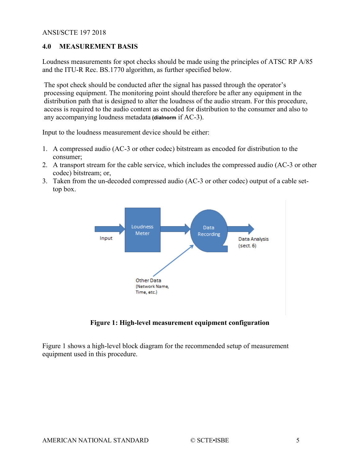# <span id="page-4-0"></span>**4.0 MEASUREMENT BASIS**

Loudness measurements for spot checks should be made using the principles of ATSC RP A/85 and the ITU-R Rec. BS.1770 algorithm, as further specified below.

The spot check should be conducted after the signal has passed through the operator's processing equipment. The monitoring point should therefore be after any equipment in the distribution path that is designed to alter the loudness of the audio stream. For this procedure, access is required to the audio content as encoded for distribution to the consumer and also to any accompanying loudness metadata **(dialnorm** if AC-3).

Input to the loudness measurement device should be either:

- 1. A compressed audio (AC-3 or other codec) bitstream as encoded for distribution to the consumer;
- 2. A transport stream for the cable service, which includes the compressed audio (AC-3 or other codec) bitstream; or,
- 3. Taken from the un-decoded compressed audio (AC-3 or other codec) output of a cable settop box.



**Figure 1: High-level measurement equipment configuration**

<span id="page-4-1"></span>Figure 1 shows a high-level block diagram for the recommended setup of measurement equipment used in this procedure.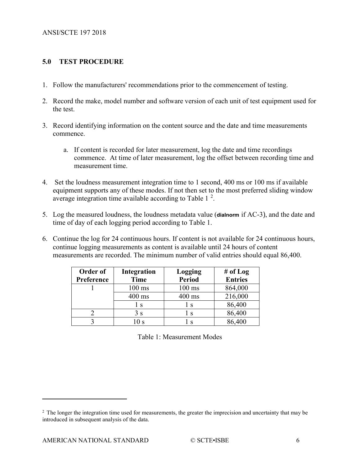#### <span id="page-5-0"></span>**5.0 TEST PROCEDURE**

- 1. Follow the manufacturers' recommendations prior to the commencement of testing.
- 2. Record the make, model number and software version of each unit of test equipment used for the test.
- 3. Record identifying information on the content source and the date and time measurements commence.
	- a. If content is recorded for later measurement, log the date and time recordings commence. At time of later measurement, log the offset between recording time and measurement time.
- 4. Set the loudness measurement integration time to 1 second, 400 ms or 100 ms if available equipment supports any of these modes. If not then set to the most preferred sliding window average integration time available according to Table 1 $^2$  $^2$ .
- 5. Log the measured loudness, the loudness metadata value (**dialnorm** if AC-3), and the date and time of day of each logging period according to Table 1.
- 6. Continue the log for 24 continuous hours. If content is not available for 24 continuous hours, continue logging measurements as content is available until 24 hours of content measurements are recorded. The minimum number of valid entries should equal 86,400.

| Order of   | <b>Integration</b> | Logging       | # of $Log$     |
|------------|--------------------|---------------|----------------|
| Preference | Time               | <b>Period</b> | <b>Entries</b> |
|            | $100 \text{ ms}$   | $100$ ms      | 864,000        |
|            | 400 ms             | 400 ms        | 216,000        |
|            | l s                | ΙS            | 86,400         |
|            | 3 s                | ΙS            | 86,400         |
|            |                    | $\mathbf C$   | 86,400         |

Table 1: Measurement Modes

 $\overline{a}$ 

<span id="page-5-1"></span><sup>&</sup>lt;sup>2</sup> The longer the integration time used for measurements, the greater the imprecision and uncertainty that may be introduced in subsequent analysis of the data.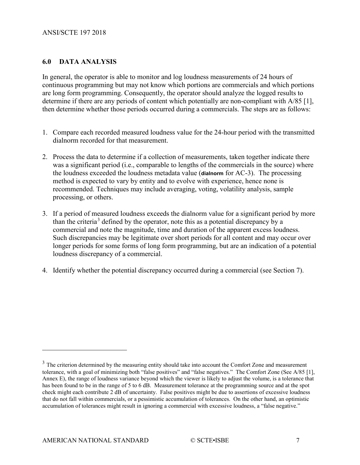# <span id="page-6-0"></span>**6.0 DATA ANALYSIS**

In general, the operator is able to monitor and log loudness measurements of 24 hours of continuous programming but may not know which portions are commercials and which portions are long form programming. Consequently, the operator should analyze the logged results to determine if there are any periods of content which potentially are non-compliant with A/85 [1], then determine whether those periods occurred during a commercials. The steps are as follows:

- 1. Compare each recorded measured loudness value for the 24-hour period with the transmitted dialnorm recorded for that measurement.
- 2. Process the data to determine if a collection of measurements, taken together indicate there was a significant period (i.e., comparable to lengths of the commercials in the source) where the loudness exceeded the loudness metadata value (**dialnorm** for AC-3). The processing method is expected to vary by entity and to evolve with experience, hence none is recommended. Techniques may include averaging, voting, volatility analysis, sample processing, or others.
- 3. If a period of measured loudness exceeds the dialnorm value for a significant period by more than the criteria[3](#page-6-1) defined by the operator, note this as a potential discrepancy by a commercial and note the magnitude, time and duration of the apparent excess loudness. Such discrepancies may be legitimate over short periods for all content and may occur over longer periods for some forms of long form programming, but are an indication of a potential loudness discrepancy of a commercial.
- 4. Identify whether the potential discrepancy occurred during a commercial (see Section 7).

 $\overline{a}$ 

<span id="page-6-1"></span><sup>&</sup>lt;sup>3</sup> The criterion determined by the measuring entity should take into account the Comfort Zone and measurement tolerance, with a goal of minimizing both "false positives" and "false negatives." The Comfort Zone (See A/85 [1], Annex E), the range of loudness variance beyond which the viewer is likely to adjust the volume, is a tolerance that has been found to be in the range of 5 to 6 dB. Measurement tolerance at the programming source and at the spot check might each contribute 2 dB of uncertainty. False positives might be due to assertions of excessive loudness that do not fall within commercials, or a pessimistic accumulation of tolerances. On the other hand, an optimistic accumulation of tolerances might result in ignoring a commercial with excessive loudness, a "false negative."